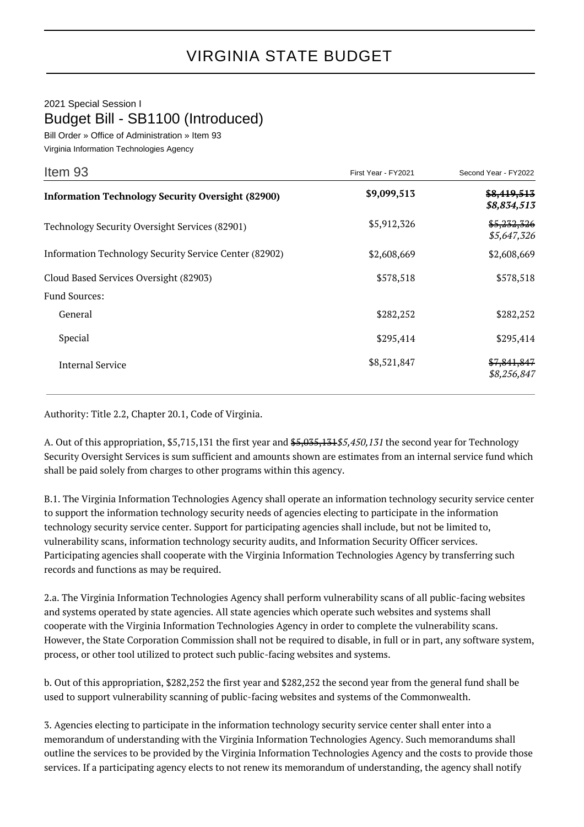## 2021 Special Session I Budget Bill - SB1100 (Introduced)

Bill Order » Office of Administration » Item 93 Virginia Information Technologies Agency

| Item 93                                                  | First Year - FY2021 | Second Year - FY2022       |
|----------------------------------------------------------|---------------------|----------------------------|
| <b>Information Technology Security Oversight (82900)</b> | \$9,099,513         | \$8,419,513<br>\$8,834,513 |
| Technology Security Oversight Services (82901)           | \$5,912,326         | \$5,232,326<br>\$5,647,326 |
| Information Technology Security Service Center (82902)   | \$2,608,669         | \$2,608,669                |
| Cloud Based Services Oversight (82903)                   | \$578,518           | \$578,518                  |
| <b>Fund Sources:</b>                                     |                     |                            |
| General                                                  | \$282,252           | \$282,252                  |
| Special                                                  | \$295,414           | \$295,414                  |
| <b>Internal Service</b>                                  | \$8,521,847         | \$7,841,847<br>\$8,256,847 |

Authority: Title 2.2, Chapter 20.1, Code of Virginia.

A. Out of this appropriation, \$5,715,131 the first year and  $$5,035,1315,450,131$  the second year for Technology Security Oversight Services is sum sufficient and amounts shown are estimates from an internal service fund which shall be paid solely from charges to other programs within this agency.

B.1. The Virginia Information Technologies Agency shall operate an information technology security service center to support the information technology security needs of agencies electing to participate in the information technology security service center. Support for participating agencies shall include, but not be limited to, vulnerability scans, information technology security audits, and Information Security Officer services. Participating agencies shall cooperate with the Virginia Information Technologies Agency by transferring such records and functions as may be required.

2.a. The Virginia Information Technologies Agency shall perform vulnerability scans of all public-facing websites and systems operated by state agencies. All state agencies which operate such websites and systems shall cooperate with the Virginia Information Technologies Agency in order to complete the vulnerability scans. However, the State Corporation Commission shall not be required to disable, in full or in part, any software system, process, or other tool utilized to protect such public-facing websites and systems.

b. Out of this appropriation, \$282,252 the first year and \$282,252 the second year from the general fund shall be used to support vulnerability scanning of public-facing websites and systems of the Commonwealth.

3. Agencies electing to participate in the information technology security service center shall enter into a memorandum of understanding with the Virginia Information Technologies Agency. Such memorandums shall outline the services to be provided by the Virginia Information Technologies Agency and the costs to provide those services. If a participating agency elects to not renew its memorandum of understanding, the agency shall notify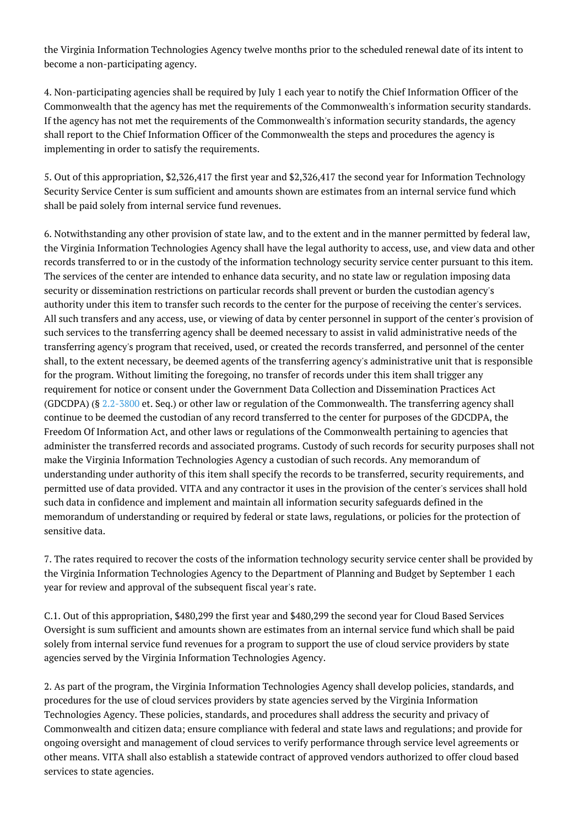the Virginia Information Technologies Agency twelve months prior to the scheduled renewal date of its intent to become a non-participating agency.

4. Non-participating agencies shall be required by July 1 each year to notify the Chief Information Officer of the Commonwealth that the agency has met the requirements of the Commonwealth's information security standards. If the agency has not met the requirements of the Commonwealth's information security standards, the agency shall report to the Chief Information Officer of the Commonwealth the steps and procedures the agency is implementing in order to satisfy the requirements.

5. Out of this appropriation, \$2,326,417 the first year and \$2,326,417 the second year for Information Technology Security Service Center is sum sufficient and amounts shown are estimates from an internal service fund which shall be paid solely from internal service fund revenues.

6. Notwithstanding any other provision of state law, and to the extent and in the manner permitted by federal law, the Virginia Information Technologies Agency shall have the legal authority to access, use, and view data and other records transferred to or in the custody of the information technology security service center pursuant to this item. The services of the center are intended to enhance data security, and no state law or regulation imposing data security or dissemination restrictions on particular records shall prevent or burden the custodian agency's authority under this item to transfer such records to the center for the purpose of receiving the center's services. All such transfers and any access, use, or viewing of data by center personnel in support of the center's provision of such services to the transferring agency shall be deemed necessary to assist in valid administrative needs of the transferring agency's program that received, used, or created the records transferred, and personnel of the center shall, to the extent necessary, be deemed agents of the transferring agency's administrative unit that is responsible for the program. Without limiting the foregoing, no transfer of records under this item shall trigger any requirement for notice or consent under the Government Data Collection and Dissemination Practices Act (GDCDPA) (§ [2.2-3800](http://law.lis.virginia.gov/vacode/2.2-3800/) et. Seq.) or other law or regulation of the Commonwealth. The transferring agency shall continue to be deemed the custodian of any record transferred to the center for purposes of the GDCDPA, the Freedom Of Information Act, and other laws or regulations of the Commonwealth pertaining to agencies that administer the transferred records and associated programs. Custody of such records for security purposes shall not make the Virginia Information Technologies Agency a custodian of such records. Any memorandum of understanding under authority of this item shall specify the records to be transferred, security requirements, and permitted use of data provided. VITA and any contractor it uses in the provision of the center's services shall hold such data in confidence and implement and maintain all information security safeguards defined in the memorandum of understanding or required by federal or state laws, regulations, or policies for the protection of sensitive data.

7. The rates required to recover the costs of the information technology security service center shall be provided by the Virginia Information Technologies Agency to the Department of Planning and Budget by September 1 each year for review and approval of the subsequent fiscal year's rate.

C.1. Out of this appropriation, \$480,299 the first year and \$480,299 the second year for Cloud Based Services Oversight is sum sufficient and amounts shown are estimates from an internal service fund which shall be paid solely from internal service fund revenues for a program to support the use of cloud service providers by state agencies served by the Virginia Information Technologies Agency.

2. As part of the program, the Virginia Information Technologies Agency shall develop policies, standards, and procedures for the use of cloud services providers by state agencies served by the Virginia Information Technologies Agency. These policies, standards, and procedures shall address the security and privacy of Commonwealth and citizen data; ensure compliance with federal and state laws and regulations; and provide for ongoing oversight and management of cloud services to verify performance through service level agreements or other means. VITA shall also establish a statewide contract of approved vendors authorized to offer cloud based services to state agencies.